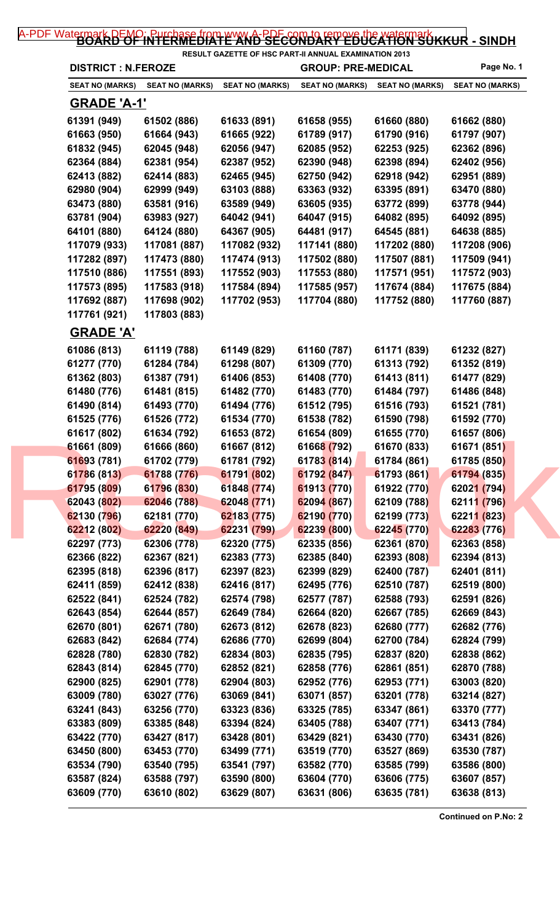## [A-PDF Watermark DEMO: Purchase from www.A-PDF.com to remove the watermark](http://www.a-pdf.com/?wm-demo) KKUR - SINDH

| <b>DISTRICT : N.FEROZE</b> |                        |                        | <b>GROUP: PRE-MEDICAL</b> | Page No. 1             |                        |
|----------------------------|------------------------|------------------------|---------------------------|------------------------|------------------------|
| <b>SEAT NO (MARKS)</b>     | <b>SEAT NO (MARKS)</b> | <b>SEAT NO (MARKS)</b> | <b>SEAT NO (MARKS)</b>    | <b>SEAT NO (MARKS)</b> | <b>SEAT NO (MARKS)</b> |
| <b>GRADE 'A-1'</b>         |                        |                        |                           |                        |                        |
| 61391 (949)                | 61502 (886)            | 61633 (891)            | 61658 (955)               | 61660 (880)            | 61662 (880)            |
| 61663 (950)                | 61664 (943)            | 61665 (922)            | 61789 (917)               | 61790 (916)            | 61797 (907)            |
| 61832 (945)                | 62045 (948)            | 62056 (947)            | 62085 (952)               | 62253 (925)            | 62362 (896)            |
| 62364 (884)                | 62381 (954)            | 62387 (952)            | 62390 (948)               | 62398 (894)            | 62402 (956)            |
| 62413 (882)                | 62414 (883)            | 62465 (945)            | 62750 (942)               | 62918 (942)            | 62951 (889)            |
| 62980 (904)                | 62999 (949)            | 63103 (888)            | 63363 (932)               | 63395 (891)            | 63470 (880)            |
| 63473 (880)                | 63581 (916)            | 63589 (949)            | 63605 (935)               | 63772 (899)            | 63778 (944)            |
| 63781 (904)                | 63983 (927)            | 64042 (941)            | 64047 (915)               | 64082 (895)            | 64092 (895)            |
| 64101 (880)                | 64124 (880)            | 64367 (905)            | 64481 (917)               | 64545 (881)            | 64638 (885)            |
| 117079 (933)               | 117081 (887)           | 117082 (932)           | 117141 (880)              | 117202 (880)           | 117208 (906)           |
| 117282 (897)               | 117473 (880)           | 117474 (913)           | 117502 (880)              | 117507 (881)           | 117509 (941)           |
| 117510 (886)               | 117551 (893)           | 117552 (903)           | 117553 (880)              | 117571 (951)           | 117572 (903)           |
| 117573 (895)               | 117583 (918)           | 117584 (894)           | 117585 (957)              | 117674 (884)           | 117675 (884)           |
| 117692 (887)               | 117698 (902)           | 117702 (953)           | 117704 (880)              | 117752 (880)           | 117760 (887)           |
| 117761 (921)               | 117803 (883)           |                        |                           |                        |                        |
| <b>GRADE 'A'</b>           |                        |                        |                           |                        |                        |
| 61086 (813)                | 61119 (788)            | 61149 (829)            | 61160 (787)               | 61171 (839)            | 61232 (827)            |
| 61277 (770)                | 61284 (784)            | 61298 (807)            | 61309 (770)               | 61313 (792)            | 61352 (819)            |
| 61362 (803)                | 61387 (791)            | 61406 (853)            | 61408 (770)               | 61413 (811)            | 61477 (829)            |
| 61480 (776)                | 61481 (815)            | 61482 (770)            | 61483 (770)               | 61484 (797)            | 61486 (848)            |
| 61490 (814)                | 61493 (770)            | 61494 (776)            | 61512 (795)               | 61516 (793)            | 61521 (781)            |
| 61525 (776)                | 61526 (772)            | 61534 (770)            | 61538 (782)               | 61590 (798)            | 61592 (770)            |
| 61617 (802)                | 61634 (792)            | 61653 (872)            | 61654 (809)               | 61655 (770)            | 61657 (806)            |
| 61661 (809)                | 61666 (860)            | 61667 (812)            | 61668 (792)               | 61670 (833)            | 61671 (851)            |
| 61693 (781)                | 61702 (779)            | 61781 (792)            | 61783 (814)               | 61784 (861)            | 61785 (850)            |
| 61786 (813)                | 61788 (776)            | 61791 (802)            | 61792 (847)               | 61793 (861)            | 61794 (835)            |
| 61795 (809)                | 61796 (830)            | 61848 (774)            | 61913 (770)               | 61922 (770)            | 62021 (794)            |
| 62043 (802)                | 62046 (788)            | 62048 (771)            | 62094 (867)               | 62109 (788)            | 62111 (796)            |
| 62130 (796)                | 62181 (770)            | 62183 (775)            | 62190 (770)               | 62199 (773)            | 62211 (823)            |
| 62212 (802)                | 62220 (849)            | 62231 (799)            | 62239 (800)               | 62245 (770)            | 62283 (776)            |
| 62297 (773)                | 62306 (778)            | 62320 (775)            | 62335 (856)               | 62361 (870)            | 62363 (858)            |
| 62366 (822)                | 62367 (821)            | 62383 (773)            | 62385 (840)               | 62393 (808)            | 62394 (813)            |
| 62395 (818)                | 62396 (817)            | 62397 (823)            | 62399 (829)               | 62400 (787)            | 62401 (811)            |
| 62411 (859)                | 62412 (838)            | 62416 (817)            | 62495 (776)               | 62510 (787)            | 62519 (800)            |
| 62522 (841)                | 62524 (782)            | 62574 (798)            | 62577 (787)               | 62588 (793)            | 62591 (826)            |
| 62643 (854)                | 62644 (857)            | 62649 (784)            | 62664 (820)               | 62667 (785)            | 62669 (843)            |
| 62670 (801)                | 62671 (780)            | 62673 (812)            | 62678 (823)               | 62680 (777)            | 62682 (776)            |
| 62683 (842)                | 62684 (774)            | 62686 (770)            | 62699 (804)               | 62700 (784)            | 62824 (799)            |
| 62828 (780)                | 62830 (782)            | 62834 (803)            | 62835 (795)               | 62837 (820)            | 62838 (862)            |
| 62843 (814)                | 62845 (770)            | 62852 (821)            | 62858 (776)               | 62861 (851)            | 62870 (788)            |
| 62900 (825)                | 62901 (778)            | 62904 (803)            | 62952 (776)               | 62953 (771)            | 63003 (820)            |
| 63009 (780)                | 63027 (776)            | 63069 (841)            | 63071 (857)               | 63201 (778)            | 63214 (827)            |
| 63241 (843)                | 63256 (770)            | 63323 (836)            | 63325 (785)               | 63347 (861)            | 63370 (777)            |
| 63383 (809)                | 63385 (848)            | 63394 (824)            | 63405 (788)               | 63407 (771)            | 63413 (784)            |
| 63422 (770)                | 63427 (817)            | 63428 (801)            | 63429 (821)               | 63430 (770)            | 63431 (826)            |
| 63450 (800)                | 63453 (770)            | 63499 (771)            | 63519 (770)               | 63527 (869)            | 63530 (787)            |
| 63534 (790)                | 63540 (795)            | 63541 (797)            | 63582 (770)               | 63585 (799)            | 63586 (800)            |
| 63587 (824)                | 63588 (797)            | 63590 (800)            | 63604 (770)               | 63606 (775)            | 63607 (857)            |
|                            |                        |                        |                           |                        |                        |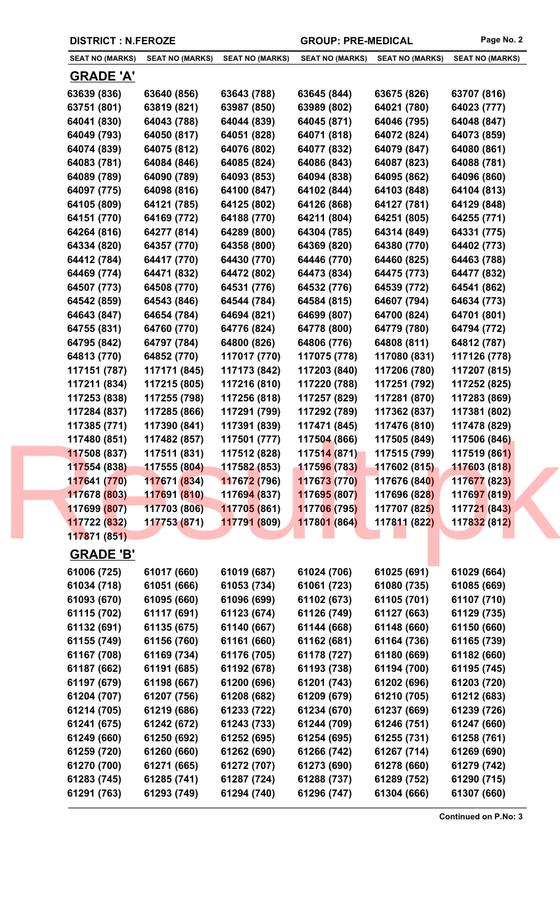| <b>SEAT NO (MARKS)</b> | <b>SEAT NO (MARKS)</b> | <b>SEAT NO (MARKS)</b>      | <b>SEAT NO (MARKS)</b> | <b>SEAT NO (MARKS)</b> | <b>SEAT NO (MARKS)</b> |
|------------------------|------------------------|-----------------------------|------------------------|------------------------|------------------------|
| <b>GRADE 'A'</b>       |                        |                             |                        |                        |                        |
|                        |                        |                             |                        |                        |                        |
| 63639 (836)            | 63640 (856)            | 63643 (788)                 | 63645 (844)            | 63675 (826)            | 63707 (816)            |
| 63751 (801)            | 63819 (821)            | 63987 (850)                 | 63989 (802)            | 64021 (780)            | 64023 (777)            |
| 64041 (830)            | 64043 (788)            | 64044 (839)                 | 64045 (871)            | 64046 (795)            | 64048 (847)            |
| 64049 (793)            | 64050 (817)            | 64051 (828)                 | 64071 (818)            | 64072 (824)            | 64073 (859)            |
| 64074 (839)            | 64075 (812)            | 64076 (802)                 | 64077 (832)            | 64079 (847)            | 64080 (861)            |
| 64083 (781)            | 64084 (846)            | 64085 (824)                 | 64086 (843)            | 64087 (823)            | 64088 (781)            |
| 64089 (789)            | 64090 (789)            | 64093 (853)                 | 64094 (838)            | 64095 (862)            | 64096 (860)            |
| 64097 (775)            | 64098 (816)            | 64100 (847)                 | 64102 (844)            | 64103 (848)            | 64104 (813)            |
| 64105 (809)            | 64121 (785)            | 64125 (802)                 | 64126 (868)            | 64127 (781)            | 64129 (848)            |
| 64151 (770)            | 64169 (772)            | 64188 (770)                 | 64211 (804)            | 64251 (805)            | 64255 (771)            |
| 64264 (816)            | 64277 (814)            | 64289 (800)                 | 64304 (785)            | 64314 (849)            | 64331 (775)            |
| 64334 (820)            | 64357 (770)            | 64358 (800)                 | 64369 (820)            | 64380 (770)            | 64402 (773)            |
| 64412 (784)            | 64417 (770)            | 64430 (770)                 | 64446 (770)            | 64460 (825)            | 64463 (788)            |
| 64469 (774)            | 64471 (832)            | 64472 (802)                 | 64473 (834)            | 64475 (773)            | 64477 (832)            |
| 64507 (773)            | 64508 (770)            | 64531 (776)                 | 64532 (776)            | 64539 (772)            | 64541 (862)            |
| 64542 (859)            | 64543 (846)            | 64544 (784)                 | 64584 (815)            | 64607 (794)            | 64634 (773)            |
| 64643 (847)            | 64654 (784)            | 64694 (821)                 | 64699 (807)            | 64700 (824)            | 64701 (801)            |
| 64755 (831)            | 64760 (770)            | 64776 (824)                 | 64778 (800)            | 64779 (780)            | 64794 (772)            |
| 64795 (842)            | 64797 (784)            | 64800 (826)                 | 64806 (776)            | 64808 (811)            | 64812 (787)            |
| 64813 (770)            | 64852 (770)            | 117017 (770)                | 117075 (778)           | 117080 (831)           | 117126 (778)           |
| 117151 (787)           | 117171 (845)           | 117173 (842)                | 117203 (840)           | 117206 (780)           | 117207 (815)           |
| 117211 (834)           | 117215 (805)           | 117216 (810)                | 117220 (788)           | 117251 (792)           | 117252 (825)           |
| 117253 (838)           | 117255 (798)           | 117256 (818)                | 117257 (829)           | 117281 (870)           | 117283 (869)           |
| 117284 (837)           | 117285 (866)           | 117291 (799)                | 117292 (789)           | 117362 (837)           | 117381 (802)           |
| 117385 (771)           | 117390 (841)           | 117391 (839)                | 117471 (845)           | 117476 (810)           | 117478 (829)           |
| 117480 (851)           | 117482 (857)           | 117501 (777)                | 117504 (866)           | 117505 (849)           | 117506 (846)           |
| 117508 (837)           | 117511 (831)           | 117512 (828)                | 117514 (871)           | 117515 (799)           | 117519 (861)           |
| 117554 (838)           | 117555(804)            | 117582 (853)                | 117596 (783)           | 117602 (815)           | 117603 (818)           |
| 117641 (770)           | 117671 (834)           | 117672 (796)                | 117673 (770)           | 117676 (840)           | 117677 (823)           |
| 117678 (803)           | 117691 (810)           | 11769 <mark>4 (</mark> 837) | 117695 (807)           | 117696 (828)           | 117697 (819)           |
| 117699 (807)           | 117703 (806)           | 11770 <mark>5 (</mark> 861) | 117706 (795)           | 117707 (825)           | 117721 (843)           |
| 117722 (832)           | 117753 (871)           | 11779 <mark>1 (8</mark> 09) | 117801 (864)           | 117811 (822)           | 117832 (812)           |
| 117871 (851)           |                        |                             |                        |                        |                        |
| <b>GRADE 'B'</b>       |                        |                             |                        |                        |                        |
| 61006 (725)            | 61017 (660)            | 61019 (687)                 | 61024 (706)            | 61025 (691)            | 61029 (664)            |
| 61034 (718)            | 61051 (666)            | 61053 (734)                 | 61061 (723)            | 61080 (735)            | 61085 (669)            |
| 61093 (670)            | 61095 (660)            | 61096 (699)                 | 61102 (673)            | 61105 (701)            | 61107 (710)            |
|                        |                        |                             |                        |                        |                        |
| 61115 (702)            | 61117 (691)            | 61123 (674)                 | 61126 (749)            | 61127 (663)            | 61129 (735)            |
| 61132 (691)            | 61135 (675)            | 61140 (667)                 | 61144 (668)            | 61148 (660)            | 61150 (660)            |
| 61155 (749)            | 61156 (760)            | 61161 (660)                 | 61162 (681)            | 61164 (736)            | 61165 (739)            |
| 61167 (708)            | 61169 (734)            | 61176 (705)                 | 61178 (727)            | 61180 (669)            | 61182 (660)            |
| 61187 (662)            | 61191 (685)            | 61192 (678)                 | 61193 (738)            | 61194 (700)            | 61195 (745)            |
| 61197 (679)            | 61198 (667)            | 61200 (696)                 | 61201 (743)            | 61202 (696)            | 61203 (720)            |
| 61204 (707)            | 61207 (756)            | 61208 (682)                 | 61209 (679)            | 61210 (705)            | 61212 (683)            |
| 61214 (705)            | 61219 (686)            | 61233 (722)                 | 61234 (670)            | 61237 (669)            | 61239 (726)            |
| 61241 (675)            | 61242 (672)            | 61243 (733)                 | 61244 (709)            | 61246 (751)            | 61247 (660)            |
| 61249 (660)            | 61250 (692)            | 61252 (695)                 | 61254 (695)            | 61255 (731)            | 61258 (761)            |
| 61259 (720)            | 61260 (660)            | 61262 (690)                 | 61266 (742)            | 61267 (714)            | 61269 (690)            |
| 61270 (700)            | 61271 (665)            | 61272 (707)                 | 61273 (690)            | 61278 (660)            | 61279 (742)            |
| 61283 (745)            | 61285 (741)            | 61287 (724)                 | 61288 (737)            | 61289 (752)            | 61290 (715)            |
| 61291 (763)            | 61293 (749)            | 61294 (740)                 | 61296 (747)            | 61304 (666)            | 61307 (660)            |
|                        |                        |                             |                        |                        |                        |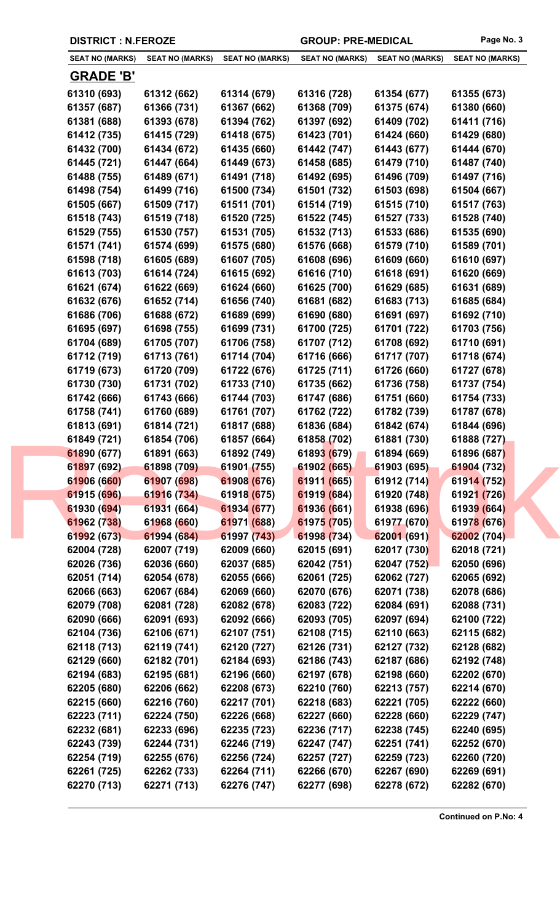| <b>DISTRICT : N.FEROZE</b> |  |  |
|----------------------------|--|--|
|----------------------------|--|--|

GROUP: PRE-MEDICAL Page No. 3

| <b>SEAT NO (MARKS)</b>     | <b>SEAT NO (MARKS)</b>     | <b>SEAT NO (MARKS)</b>     | <b>SEAT NO (MARKS)</b>     | <b>SEAT NO (MARKS)</b>     | <b>SEAT NO (MARKS)</b>     |
|----------------------------|----------------------------|----------------------------|----------------------------|----------------------------|----------------------------|
| <b>GRADE 'B'</b>           |                            |                            |                            |                            |                            |
|                            |                            |                            |                            |                            |                            |
| 61310 (693)                | 61312 (662)                | 61314 (679)                | 61316 (728)<br>61368 (709) | 61354 (677)                | 61355 (673)                |
| 61357 (687)<br>61381 (688) | 61366 (731)                | 61367 (662)                |                            | 61375 (674)<br>61409 (702) | 61380 (660)                |
| 61412 (735)                | 61393 (678)<br>61415 (729) | 61394 (762)<br>61418 (675) | 61397 (692)<br>61423 (701) | 61424 (660)                | 61411 (716)<br>61429 (680) |
| 61432 (700)                | 61434 (672)                | 61435 (660)                | 61442 (747)                | 61443 (677)                |                            |
| 61445 (721)                | 61447 (664)                | 61449 (673)                | 61458 (685)                | 61479 (710)                | 61444 (670)<br>61487 (740) |
| 61488 (755)                | 61489 (671)                | 61491 (718)                | 61492 (695)                | 61496 (709)                | 61497 (716)                |
| 61498 (754)                | 61499 (716)                | 61500 (734)                | 61501 (732)                | 61503 (698)                | 61504 (667)                |
| 61505 (667)                | 61509 (717)                | 61511 (701)                | 61514 (719)                | 61515 (710)                | 61517 (763)                |
| 61518 (743)                | 61519 (718)                | 61520 (725)                | 61522 (745)                | 61527 (733)                | 61528 (740)                |
| 61529 (755)                | 61530 (757)                | 61531 (705)                | 61532 (713)                | 61533 (686)                | 61535 (690)                |
| 61571 (741)                | 61574 (699)                | 61575 (680)                | 61576 (668)                | 61579 (710)                | 61589 (701)                |
|                            |                            |                            | 61608 (696)                | 61609 (660)                |                            |
| 61598 (718)                | 61605 (689)<br>61614 (724) | 61607 (705)<br>61615 (692) | 61616 (710)                |                            | 61610 (697)                |
| 61613 (703)                |                            |                            |                            | 61618 (691)                | 61620 (669)                |
| 61621 (674)                | 61622 (669)                | 61624 (660)                | 61625 (700)                | 61629 (685)                | 61631 (689)                |
| 61632 (676)                | 61652 (714)                | 61656 (740)                | 61681 (682)                | 61683 (713)                | 61685 (684)                |
| 61686 (706)                | 61688 (672)                | 61689 (699)                | 61690 (680)                | 61691 (697)                | 61692 (710)                |
| 61695 (697)                | 61698 (755)                | 61699 (731)                | 61700 (725)                | 61701 (722)                | 61703 (756)                |
| 61704 (689)                | 61705 (707)                | 61706 (758)                | 61707 (712)                | 61708 (692)                | 61710 (691)                |
| 61712 (719)                | 61713 (761)                | 61714 (704)                | 61716 (666)                | 61717 (707)                | 61718 (674)                |
| 61719 (673)                | 61720 (709)                | 61722 (676)                | 61725 (711)                | 61726 (660)                | 61727 (678)                |
| 61730 (730)                | 61731 (702)                | 61733 (710)                | 61735 (662)                | 61736 (758)                | 61737 (754)                |
| 61742 (666)                | 61743 (666)                | 61744 (703)                | 61747 (686)                | 61751 (660)                | 61754 (733)                |
| 61758 (741)                | 61760 (689)                | 61761 (707)                | 61762 (722)                | 61782 (739)                | 61787 (678)                |
| 61813 (691)                | 61814 (721)                | 61817 (688)                | 61836 (684)                | 61842 (674)                | 61844 (696)                |
| 61849 (721)                | 61854 (706)                | 61857 (664)                | 61858 (702)                | 61881 (730)                | 61888 (727)                |
| 61890 (677)                | 61891 (663)                | 61892 (749)                | 61893 (679)                | 61894 (669)                | 61896 (687)                |
| 61897 (692)                | 61898 (709)                | 61901 (755)                | 61902 (665)                | 61903 (695)                | 61904 (732)                |
| 61906 (660)                | 61907 (698)                | 61908 (676)                | 61911 (665)                | 61912 (714)                | 61914 (752)                |
| 61915 (696)                | 61916 (734)                | 61918 (675)                | 61919 (684)                | 61920 (748)                | 61921 (726)                |
| 61930 (694)                | 61931 (664)                | 61934 (677)                | 61936 (661)                | 61938 (696)                | 61939 (664)                |
| 61962 (738)                | 61968 (660)                | 61971 (688)                | 61975 (705)                | 61977 (670)                | 61978 (676)                |
| 61992 (673)                | 61994 (684)                | 61997 (743)                | 61998 (734)                | 62001 (691)                | 62002 (704)                |
| 62004 (728)                | 62007 (719)                | 62009 (660)                | 62015 (691)                | 62017 (730)                | 62018 (721)                |
| 62026 (736)                | 62036 (660)                | 62037 (685)                | 62042 (751)                | 62047 (752)                | 62050 (696)                |
| 62051 (714)                | 62054 (678)                | 62055 (666)                | 62061 (725)                | 62062 (727)                | 62065 (692)                |
| 62066 (663)                | 62067 (684)                | 62069 (660)                | 62070 (676)                | 62071 (738)                | 62078 (686)                |
| 62079 (708)                | 62081 (728)                | 62082 (678)                | 62083 (722)                | 62084 (691)                | 62088 (731)                |
| 62090 (666)                | 62091 (693)                | 62092 (666)                | 62093 (705)                | 62097 (694)                | 62100 (722)                |
| 62104 (736)                | 62106 (671)                | 62107 (751)                | 62108 (715)                | 62110 (663)                | 62115 (682)                |
| 62118 (713)                | 62119 (741)                | 62120 (727)                | 62126 (731)                | 62127 (732)                | 62128 (682)                |
| 62129 (660)                | 62182 (701)                | 62184 (693)                | 62186 (743)                | 62187 (686)                | 62192 (748)                |
| 62194 (683)                | 62195 (681)                | 62196 (660)                | 62197 (678)                | 62198 (660)                | 62202 (670)                |
| 62205 (680)                | 62206 (662)                | 62208 (673)                | 62210 (760)                | 62213 (757)                | 62214 (670)                |
| 62215 (660)                | 62216 (760)                | 62217 (701)                | 62218 (683)                | 62221 (705)                | 62222 (660)                |
| 62223 (711)                | 62224 (750)                | 62226 (668)                | 62227 (660)                | 62228 (660)                | 62229 (747)                |
| 62232 (681)                | 62233 (696)                | 62235 (723)                | 62236 (717)                | 62238 (745)                | 62240 (695)                |
| 62243 (739)                | 62244 (731)                | 62246 (719)                | 62247 (747)                | 62251 (741)                | 62252 (670)                |
| 62254 (719)                | 62255 (676)                | 62256 (724)                | 62257 (727)                | 62259 (723)                | 62260 (720)                |
| 62261 (725)                | 62262 (733)                | 62264 (711)                | 62266 (670)                | 62267 (690)                | 62269 (691)                |
| 62270 (713)                | 62271 (713)                | 62276 (747)                | 62277 (698)                | 62278 (672)                | 62282 (670)                |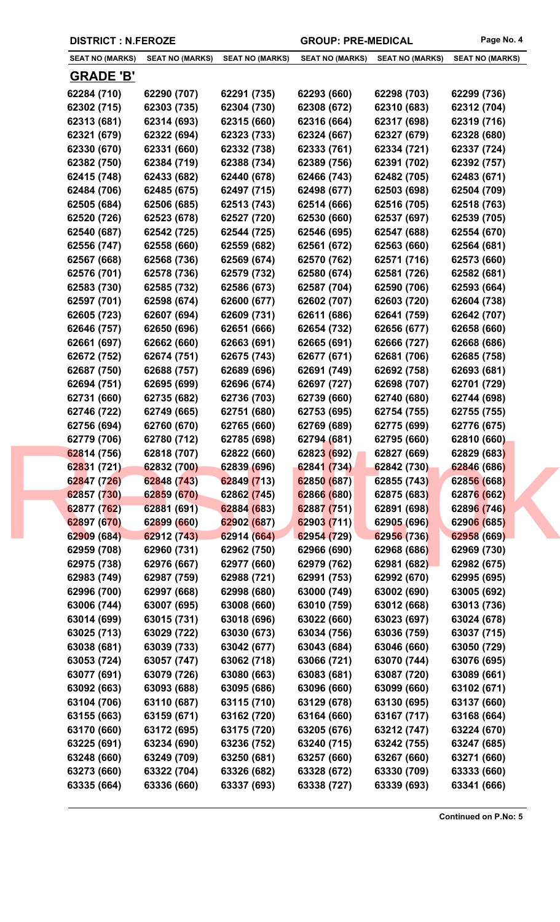| <b>DISTRICT : N.FEROZE</b> |                        |                        | <b>GROUP: PRE-MEDICAL</b> |                        | Page No. 4             |
|----------------------------|------------------------|------------------------|---------------------------|------------------------|------------------------|
| <b>SEAT NO (MARKS)</b>     | <b>SEAT NO (MARKS)</b> | <b>SEAT NO (MARKS)</b> | <b>SEAT NO (MARKS)</b>    | <b>SEAT NO (MARKS)</b> | <b>SEAT NO (MARKS)</b> |
| <b>GRADE 'B'</b>           |                        |                        |                           |                        |                        |
| 62284 (710)                | 62290 (707)            | 62291 (735)            | 62293 (660)               | 62298 (703)            | 62299 (736)            |
| 62302 (715)                | 62303 (735)            | 62304 (730)            | 62308 (672)               | 62310 (683)            | 62312 (704)            |
| 62313 (681)                | 62314 (693)            | 62315 (660)            | 62316 (664)               | 62317 (698)            | 62319 (716)            |
| 62321 (679)                | 62322 (694)            | 62323 (733)            | 62324 (667)               | 62327 (679)            | 62328 (680)            |
| 62330 (670)                | 62331 (660)            | 62332 (738)            | 62333 (761)               | 62334 (721)            | 62337 (724)            |
| 62382 (750)                | 62384 (719)            | 62388 (734)            | 62389 (756)               | 62391 (702)            | 62392 (757)            |
| 62415 (748)                | 62433 (682)            | 62440 (678)            | 62466 (743)               | 62482 (705)            | 62483 (671)            |
| 62484 (706)                | 62485 (675)            | 62497 (715)            | 62498 (677)               | 62503 (698)            | 62504 (709)            |
| 62505 (684)                | 62506 (685)            | 62513 (743)            | 62514 (666)               | 62516 (705)            | 62518 (763)            |
| 62520 (726)                | 62523 (678)            | 62527 (720)            | 62530 (660)               | 62537 (697)            | 62539 (705)            |
| 62540 (687)                | 62542 (725)            | 62544 (725)            | 62546 (695)               | 62547 (688)            | 62554 (670)            |
| 62556 (747)                | 62558 (660)            | 62559 (682)            | 62561 (672)               | 62563 (660)            | 62564 (681)            |
| 62567 (668)                | 62568 (736)            | 62569 (674)            | 62570 (762)               | 62571 (716)            | 62573 (660)            |
| 62576 (701)                | 62578 (736)            | 62579 (732)            | 62580 (674)               | 62581 (726)            | 62582 (681)            |
| 62583 (730)                | 62585 (732)            | 62586 (673)            | 62587 (704)               | 62590 (706)            | 62593 (664)            |
| 62597 (701)                | 62598 (674)            | 62600 (677)            | 62602 (707)               | 62603 (720)            | 62604 (738)            |
| 62605 (723)                | 62607 (694)            | 62609 (731)            | 62611 (686)               | 62641 (759)            | 62642 (707)            |
| 62646 (757)                | 62650 (696)            | 62651 (666)            | 62654 (732)               | 62656 (677)            | 62658 (660)            |
| 62661 (697)                | 62662 (660)            | 62663 (691)            | 62665 (691)               | 62666 (727)            | 62668 (686)            |
| 62672 (752)                | 62674 (751)            | 62675 (743)            | 62677 (671)               | 62681 (706)            | 62685 (758)            |
| 62687 (750)                | 62688 (757)            | 62689 (696)            | 62691 (749)               | 62692 (758)            | 62693 (681)            |
| 62694 (751)                | 62695 (699)            | 62696 (674)            | 62697 (727)               | 62698 (707)            | 62701 (729)            |
| 62731 (660)                | 62735 (682)            | 62736 (703)            | 62739 (660)               | 62740 (680)            | 62744 (698)            |
| 62746 (722)                | 62749 (665)            | 62751 (680)            | 62753 (695)               | 62754 (755)            | 62755 (755)            |
| 62756 (694)                | 62760 (670)            | 62765 (660)            | 62769 (689)               | 62775 (699)            | 62776 (675)            |
| 62779 (706)                | 62780 (712)            | 62785 (698)            | 62794 (681)               | 62795 (660)            | 62810 (660)            |
| 62814 (756)                | 62818 (707)            | 62822 (660)            | 62823 (692)               | 62827 (669)            | 62829 (683)            |
| 62831 (721)                | 62832 (700)            | 62839 (696)            | 62841 (734)               | 62842 (730)            | 62846 (686)            |
| 62847 (726)                | 62848 (743)            | 62849 (713)            | 62850 (687)               | 62855 (743)            | 62856 (668)            |
| 62857 (730)                | 62859 (670)            | 62862 (745)            | 62866 (680)               | 62875 (683)            | 62876 (662)            |
| 62877 (762)                | 62881 (691)            | 62884 (683)            | 62887 (751)               | 62891 (698)            | 62896 (746)            |
| 62897 (670)                | 62899 (660)            | 62902 (687)            | 62903 (711)               | 62905 (696)            | 62906 (685)            |
| 62909 (684)                | 62912 (743)            | 62914 (664)            | 62954 (729)               | 62956 (736)            | 62958 (669)            |
| 62959 (708)                | 62960 (731)            | 62962 (750)            | 62966 (690)               | 62968 (686)            | 62969 (730)            |
| 62975 (738)                | 62976 (667)            | 62977 (660)            | 62979 (762)               | 62981 (682)            | 62982 (675)            |
| 62983 (749)                | 62987 (759)            | 62988 (721)            | 62991 (753)               | 62992 (670)            | 62995 (695)            |
| 62996 (700)                | 62997 (668)            | 62998 (680)            | 63000 (749)               | 63002 (690)            | 63005 (692)            |
| 63006 (744)                | 63007 (695)            | 63008 (660)            | 63010 (759)               | 63012 (668)            | 63013 (736)            |
| 63014 (699)                | 63015 (731)            | 63018 (696)            | 63022 (660)               | 63023 (697)            | 63024 (678)            |
| 63025 (713)                | 63029 (722)            | 63030 (673)            | 63034 (756)               | 63036 (759)            | 63037 (715)            |
| 63038 (681)                | 63039 (733)            | 63042 (677)            | 63043 (684)               | 63046 (660)            | 63050 (729)            |
| 63053 (724)                | 63057 (747)            | 63062 (718)            | 63066 (721)               | 63070 (744)            | 63076 (695)            |
| 63077 (691)                | 63079 (726)            | 63080 (663)            | 63083 (681)               | 63087 (720)            | 63089 (661)            |
| 63092 (663)                | 63093 (688)            | 63095 (686)            | 63096 (660)               | 63099 (660)            | 63102 (671)            |
| 63104 (706)                | 63110 (687)            | 63115 (710)            | 63129 (678)               | 63130 (695)            | 63137 (660)            |
| 63155 (663)                | 63159 (671)            | 63162 (720)            | 63164 (660)               | 63167 (717)            | 63168 (664)            |
| 63170 (660)                | 63172 (695)            | 63175 (720)            | 63205 (676)               | 63212 (747)            | 63224 (670)            |
| 63225 (691)                | 63234 (690)            | 63236 (752)            | 63240 (715)               | 63242 (755)            | 63247 (685)            |
| 63248 (660)                | 63249 (709)            | 63250 (681)            | 63257 (660)               | 63267 (660)            | 63271 (660)            |
| 63273 (660)                | 63322 (704)            | 63326 (682)            | 63328 (672)               | 63330 (709)            | 63333 (660)            |

**63335 (664) 63336 (660) 63337 (693) 63338 (727) 63339 (693) 63341 (666)**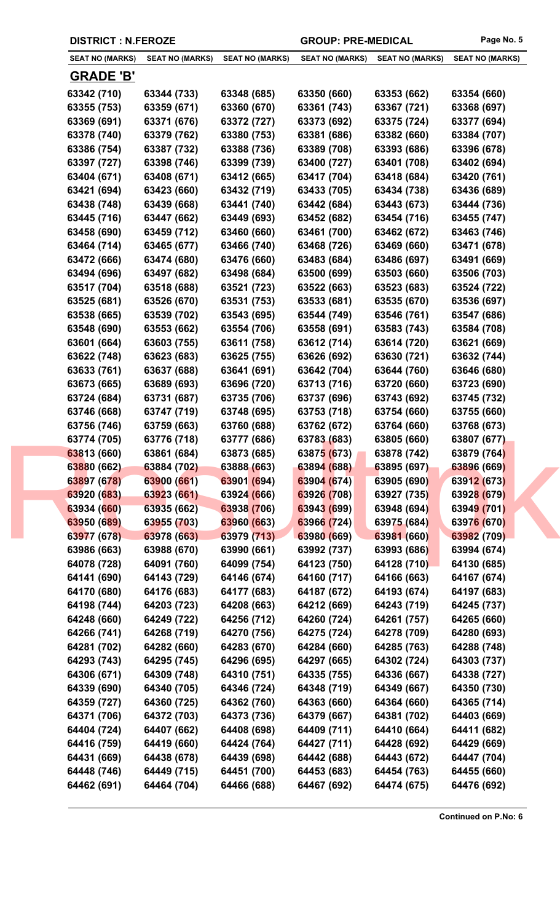|  | <b>DISTRICT : N.FEROZE</b> |
|--|----------------------------|
|--|----------------------------|

GROUP: PRE-MEDICAL Page No. 5

| <b>SEAT NO (MARKS)</b> | <b>SEAT NO (MARKS)</b> | <b>SEAT NO (MARKS)</b> | <b>SEAT NO (MARKS)</b> | <b>SEAT NO (MARKS)</b> | <b>SEAT NO (MARKS)</b> |
|------------------------|------------------------|------------------------|------------------------|------------------------|------------------------|
| <b>GRADE 'B'</b>       |                        |                        |                        |                        |                        |
|                        |                        |                        |                        |                        |                        |
| 63342 (710)            | 63344 (733)            | 63348 (685)            | 63350 (660)            | 63353 (662)            | 63354 (660)            |
| 63355 (753)            | 63359 (671)            | 63360 (670)            | 63361 (743)            | 63367 (721)            | 63368 (697)            |
| 63369 (691)            | 63371 (676)            | 63372 (727)            | 63373 (692)            | 63375 (724)            | 63377 (694)            |
| 63378 (740)            | 63379 (762)            | 63380 (753)            | 63381 (686)            | 63382 (660)            | 63384 (707)            |
| 63386 (754)            | 63387 (732)            | 63388 (736)            | 63389 (708)            | 63393 (686)            | 63396 (678)            |
| 63397 (727)            | 63398 (746)            | 63399 (739)            | 63400 (727)            | 63401 (708)            | 63402 (694)            |
| 63404 (671)            | 63408 (671)            | 63412 (665)            | 63417 (704)            | 63418 (684)            | 63420 (761)            |
| 63421 (694)            | 63423 (660)            | 63432 (719)            | 63433 (705)            | 63434 (738)            | 63436 (689)            |
| 63438 (748)            | 63439 (668)            | 63441 (740)            | 63442 (684)            | 63443 (673)            | 63444 (736)            |
| 63445 (716)            | 63447 (662)            | 63449 (693)            | 63452 (682)            | 63454 (716)            | 63455 (747)            |
| 63458 (690)            | 63459 (712)            | 63460 (660)            | 63461 (700)            | 63462 (672)            | 63463 (746)            |
| 63464 (714)            | 63465 (677)            | 63466 (740)            | 63468 (726)            | 63469 (660)            | 63471 (678)            |
| 63472 (666)            | 63474 (680)            | 63476 (660)            | 63483 (684)            | 63486 (697)            | 63491 (669)            |
| 63494 (696)            | 63497 (682)            | 63498 (684)            | 63500 (699)            | 63503 (660)            | 63506 (703)            |
| 63517 (704)            | 63518 (688)            | 63521 (723)            | 63522 (663)            | 63523 (683)            | 63524 (722)            |
| 63525 (681)            | 63526 (670)            | 63531 (753)            | 63533 (681)            | 63535 (670)            | 63536 (697)            |
| 63538 (665)            | 63539 (702)            | 63543 (695)            | 63544 (749)            | 63546 (761)            | 63547 (686)            |
| 63548 (690)            | 63553 (662)            | 63554 (706)            | 63558 (691)            | 63583 (743)            | 63584 (708)            |
| 63601 (664)            | 63603 (755)            | 63611 (758)            | 63612 (714)            | 63614 (720)            | 63621 (669)            |
| 63622 (748)            | 63623 (683)            | 63625 (755)            | 63626 (692)            | 63630 (721)            | 63632 (744)            |
| 63633 (761)            | 63637 (688)            | 63641 (691)            | 63642 (704)            | 63644 (760)            | 63646 (680)            |
| 63673 (665)            | 63689 (693)            | 63696 (720)            | 63713 (716)            | 63720 (660)            | 63723 (690)            |
| 63724 (684)            | 63731 (687)            | 63735 (706)            | 63737 (696)            | 63743 (692)            | 63745 (732)            |
| 63746 (668)            | 63747 (719)            | 63748 (695)            | 63753 (718)            | 63754 (660)            | 63755 (660)            |
| 63756 (746)            | 63759 (663)            | 63760 (688)            | 63762 (672)            | 63764 (660)            | 63768 (673)            |
| 63774 (705)            | 63776 (718)            | 63777 (686)            | 63783 (683)            | 63805 (660)            | 63807 (677)            |
| 63813 (660)            | 63861 (684)            | 63873 (685)            | 63875 (673)            | 63878 (742)            | 63879 (764)            |
| 63880 (662)            | 63884 (702)            | 63888 (663)            | 63894 (688)            | 63895 (697)            | 63896 (669)            |
| 63897 (678)            | 63900 (661)            | 63901 (694)            | 63904 (674)            | 63905 (690)            | 63912 (673)            |
| 63920 (683)            | 63923 (661)            | 63924 (666)            | 63926 (708)            | 63927 (735)            | 63928 (679)            |
| 63934 (660)            | 63935 (662)            | 63938 (706)            | 63943 (699)            | 63948 (694)            | 63949 (701)            |
| 63950 (689)            | 63955 (703)            | 63960 (663)            | 63966 (724)            | 63975 (684)            | 63976 (670)            |
| 63977 (678)            | 63978 (663)            | 63979 (713)            | 63980 (669)            | 63981 (660)            | 63982 (709)            |
| 63986 (663)            | 63988 (670)            | 63990 (661)            | 63992 (737)            | 63993 (686)            | 63994 (674)            |
| 64078 (728)            | 64091 (760)            | 64099 (754)            | 64123 (750)            | 64128 (710)            | 64130 (685)            |
| 64141 (690)            | 64143 (729)            | 64146 (674)            | 64160 (717)            | 64166 (663)            | 64167 (674)            |
| 64170 (680)            | 64176 (683)            | 64177 (683)            | 64187 (672)            | 64193 (674)            | 64197 (683)            |
| 64198 (744)            | 64203 (723)            | 64208 (663)            | 64212 (669)            | 64243 (719)            | 64245 (737)            |
|                        |                        |                        |                        |                        |                        |
| 64248 (660)            | 64249 (722)            | 64256 (712)            | 64260 (724)            | 64261 (757)            | 64265 (660)            |
| 64266 (741)            | 64268 (719)            | 64270 (756)            | 64275 (724)            | 64278 (709)            | 64280 (693)            |
| 64281 (702)            | 64282 (660)            | 64283 (670)            | 64284 (660)            | 64285 (763)            | 64288 (748)            |
| 64293 (743)            | 64295 (745)            | 64296 (695)            | 64297 (665)            | 64302 (724)            | 64303 (737)            |
| 64306 (671)            | 64309 (748)            | 64310 (751)            | 64335 (755)            | 64336 (667)            | 64338 (727)            |
| 64339 (690)            | 64340 (705)            | 64346 (724)            | 64348 (719)            | 64349 (667)            | 64350 (730)            |
| 64359 (727)            | 64360 (725)            | 64362 (760)            | 64363 (660)            | 64364 (660)            | 64365 (714)            |
| 64371 (706)            | 64372 (703)            | 64373 (736)            | 64379 (667)            | 64381 (702)            | 64403 (669)            |
| 64404 (724)            | 64407 (662)            | 64408 (698)            | 64409 (711)            | 64410 (664)            | 64411 (682)            |
| 64416 (759)            | 64419 (660)            | 64424 (764)            | 64427 (711)            | 64428 (692)            | 64429 (669)            |
| 64431 (669)            | 64438 (678)            | 64439 (698)            | 64442 (688)            | 64443 (672)            | 64447 (704)            |
| 64448 (746)            | 64449 (715)            | 64451 (700)            | 64453 (683)            | 64454 (763)            | 64455 (660)            |
| 64462 (691)            | 64464 (704)            | 64466 (688)            | 64467 (692)            | 64474 (675)            | 64476 (692)            |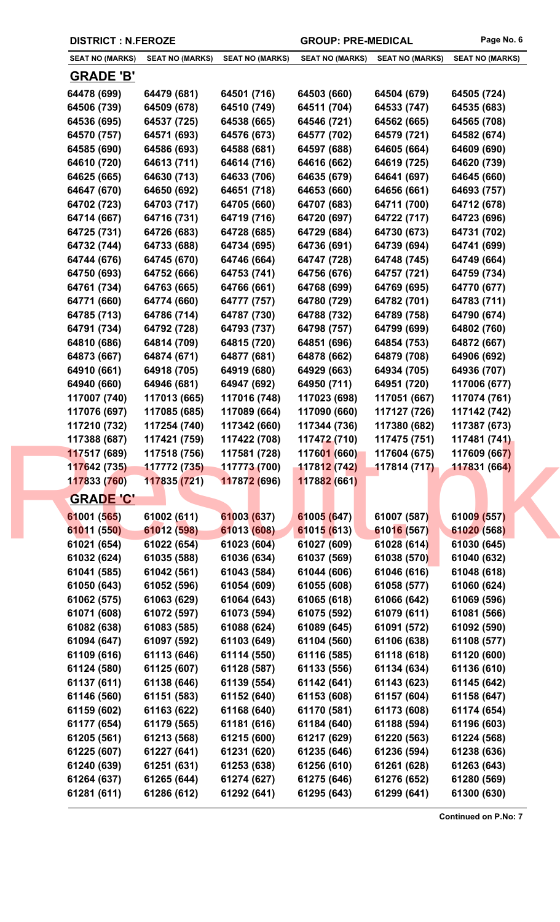| <b>DISTRICT : N.FEROZE</b> |                        |                              | <b>GROUP: PRE-MEDICAL</b> |                        | Page No. 6                   |
|----------------------------|------------------------|------------------------------|---------------------------|------------------------|------------------------------|
| <b>SEAT NO (MARKS)</b>     | <b>SEAT NO (MARKS)</b> | <b>SEAT NO (MARKS)</b>       | <b>SEAT NO (MARKS)</b>    | <b>SEAT NO (MARKS)</b> | <b>SEAT NO (MARKS)</b>       |
| <b>GRADE 'B'</b>           |                        |                              |                           |                        |                              |
| 64478 (699)                | 64479 (681)            | 64501 (716)                  | 64503 (660)               | 64504 (679)            | 64505 (724)                  |
| 64506 (739)                | 64509 (678)            | 64510 (749)                  | 64511 (704)               | 64533 (747)            | 64535 (683)                  |
| 64536 (695)                | 64537 (725)            | 64538 (665)                  | 64546 (721)               | 64562 (665)            | 64565 (708)                  |
| 64570 (757)                | 64571 (693)            | 64576 (673)                  | 64577 (702)               | 64579 (721)            | 64582 (674)                  |
| 64585 (690)                | 64586 (693)            | 64588 (681)                  | 64597 (688)               | 64605 (664)            | 64609 (690)                  |
| 64610 (720)                | 64613 (711)            | 64614 (716)                  | 64616 (662)               | 64619 (725)            | 64620 (739)                  |
| 64625 (665)                | 64630 (713)            | 64633 (706)                  | 64635 (679)               | 64641 (697)            | 64645 (660)                  |
| 64647 (670)                | 64650 (692)            | 64651 (718)                  | 64653 (660)               | 64656 (661)            | 64693 (757)                  |
| 64702 (723)                | 64703 (717)            | 64705 (660)                  | 64707 (683)               | 64711 (700)            | 64712 (678)                  |
| 64714 (667)                | 64716 (731)            | 64719 (716)                  | 64720 (697)               | 64722 (717)            | 64723 (696)                  |
| 64725 (731)                | 64726 (683)            | 64728 (685)                  | 64729 (684)               | 64730 (673)            | 64731 (702)                  |
| 64732 (744)                | 64733 (688)            | 64734 (695)                  | 64736 (691)               | 64739 (694)            | 64741 (699)                  |
| 64744 (676)                | 64745 (670)            | 64746 (664)                  | 64747 (728)               | 64748 (745)            | 64749 (664)                  |
| 64750 (693)                | 64752 (666)            | 64753 (741)                  | 64756 (676)               | 64757 (721)            | 64759 (734)                  |
| 64761 (734)                | 64763 (665)            | 64766 (661)                  | 64768 (699)               | 64769 (695)            | 64770 (677)                  |
| 64771 (660)                | 64774 (660)            | 64777 (757)                  | 64780 (729)               | 64782 (701)            | 64783 (711)                  |
| 64785 (713)                | 64786 (714)            | 64787 (730)                  | 64788 (732)               | 64789 (758)            | 64790 (674)                  |
| 64791 (734)                | 64792 (728)            | 64793 (737)                  | 64798 (757)               | 64799 (699)            | 64802 (760)                  |
| 64810 (686)                | 64814 (709)            | 64815 (720)                  | 64851 (696)               | 64854 (753)            | 64872 (667)                  |
| 64873 (667)                | 64874 (671)            | 64877 (681)                  | 64878 (662)               | 64879 (708)            | 64906 (692)                  |
| 64910 (661)                | 64918 (705)            | 64919 (680)                  | 64929 (663)               | 64934 (705)            | 64936 (707)                  |
| 64940 (660)                | 64946 (681)            | 64947 (692)                  | 64950 (711)               | 64951 (720)            | 117006 (677)                 |
| 117007 (740)               | 117013 (665)           | 117016 (748)                 | 117023 (698)              | 117051 (667)           | 117074 (761)                 |
| 117076 (697)               | 117085 (685)           |                              | 117090 (660)              | 117127 (726)           |                              |
| 117210 (732)               | 117254 (740)           | 117089 (664)<br>117342 (660) | 117344 (736)              | 117380 (682)           | 117142 (742)<br>117387 (673) |
| 117388 (687)               | 117421 (759)           | 117422 (708)                 | 117472 (710)              | 117475 (751)           | 117481 (741)                 |
| 117517 (689)               | 117518 (756)           | 117581 (728)                 | 117601 (660)              | 117604 (675)           | 117609 (667)                 |
| 117642 (735)               | 117772 (735)           | 117773 (700)                 | 117812 (742)              | 117814 (717)           | 117831 (664)                 |
| 117833 (760)               | 117835 (721)           | 117872 (696)                 | 117882 (661)              |                        |                              |
| <b>GRADE 'C'</b>           |                        |                              |                           |                        |                              |
| 61001 (565)                | 61002 (611)            | 61003 (637)                  | 61005 (647)               | 61007 (587)            | 61009 (557)                  |
| 61011 (550)                | 61012 (598)            | 61013 (608)                  | 61015 (613)               | 61016 (567)            | 61020 (568)                  |
| 61021 (654)                | 61022 (654)            | 61023 (604)                  | 61027 (609)               | 61028 (614)            | 61030 (645)                  |
|                            |                        |                              |                           |                        |                              |
| 61032 (624)                | 61035 (588)            | 61036 (634)                  | 61037 (569)               | 61038 (570)            | 61040 (632)                  |
| 61041 (585)                | 61042 (561)            | 61043 (584)                  | 61044 (606)               | 61046 (616)            | 61048 (618)                  |
| 61050 (643)                | 61052 (596)            | 61054 (609)                  | 61055 (608)               | 61058 (577)            | 61060 (624)                  |
| 61062 (575)                | 61063 (629)            | 61064 (643)                  | 61065 (618)               | 61066 (642)            | 61069 (596)                  |
| 61071 (608)                | 61072 (597)            | 61073 (594)                  | 61075 (592)               | 61079 (611)            | 61081 (566)                  |
| 61082 (638)                | 61083 (585)            | 61088 (624)                  | 61089 (645)               | 61091 (572)            | 61092 (590)                  |
| 61094 (647)                | 61097 (592)            | 61103 (649)                  | 61104 (560)               | 61106 (638)            | 61108 (577)                  |
| 61109 (616)                | 61113 (646)            | 61114 (550)                  | 61116 (585)               | 61118 (618)            | 61120 (600)                  |
| 61124 (580)                | 61125 (607)            | 61128 (587)                  | 61133 (556)               | 61134 (634)            | 61136 (610)                  |
| 61137 (611)                | 61138 (646)            | 61139 (554)                  | 61142 (641)               | 61143 (623)            | 61145 (642)                  |
| 61146 (560)                | 61151 (583)            | 61152 (640)                  | 61153 (608)               | 61157 (604)            | 61158 (647)                  |
| 61159 (602)                | 61163 (622)            | 61168 (640)                  | 61170 (581)               | 61173 (608)            | 61174 (654)                  |
| 61177 (654)                | 61179 (565)            | 61181 (616)                  | 61184 (640)               | 61188 (594)            | 61196 (603)                  |
| 61205 (561)                | 61213 (568)            | 61215 (600)                  | 61217 (629)               | 61220 (563)            | 61224 (568)                  |
| 61225 (607)                | 61227 (641)            | 61231 (620)                  | 61235 (646)               | 61236 (594)            | 61238 (636)                  |
| 61240 (639)                | 61251 (631)            | 61253 (638)                  | 61256 (610)               | 61261 (628)            | 61263 (643)                  |
| 61264 (637)                | 61265 (644)            | 61274 (627)                  | 61275 (646)               | 61276 (652)            | 61280 (569)                  |

**61281 (611) 61286 (612) 61292 (641) 61295 (643) 61299 (641) 61300 (630)**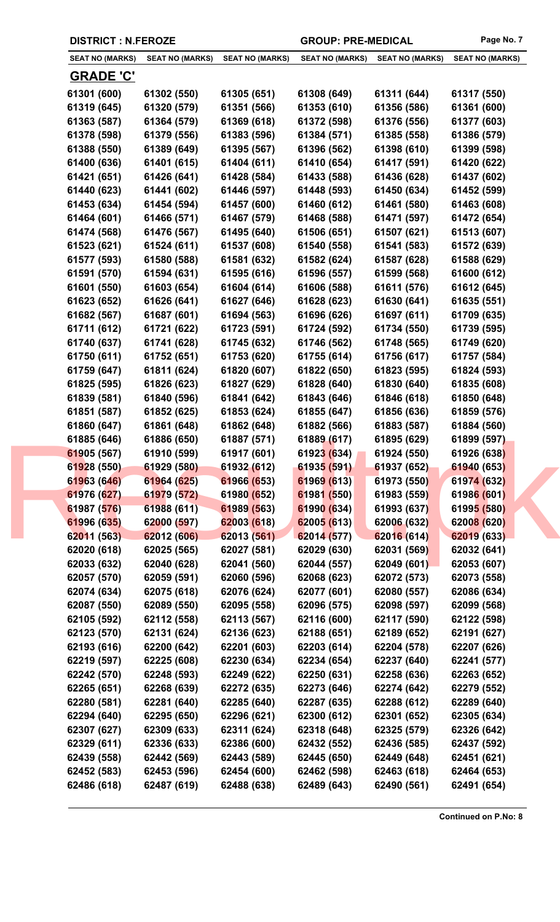|  | <b>DISTRICT : N.FEROZE</b> |
|--|----------------------------|
|--|----------------------------|

GROUP: PRE-MEDICAL Page No. 7

| <b>SEAT NO (MARKS)</b> | <b>SEAT NO (MARKS)</b> | <b>SEAT NO (MARKS)</b> | <b>SEAT NO (MARKS)</b> | <b>SEAT NO (MARKS)</b> | <b>SEAT NO (MARKS)</b> |
|------------------------|------------------------|------------------------|------------------------|------------------------|------------------------|
| <b>GRADE 'C'</b>       |                        |                        |                        |                        |                        |
| 61301 (600)            | 61302 (550)            | 61305 (651)            | 61308 (649)            | 61311 (644)            | 61317 (550)            |
| 61319 (645)            | 61320 (579)            | 61351 (566)            | 61353 (610)            | 61356 (586)            | 61361 (600)            |
| 61363 (587)            | 61364 (579)            | 61369 (618)            | 61372 (598)            | 61376 (556)            | 61377 (603)            |
| 61378 (598)            | 61379 (556)            | 61383 (596)            | 61384 (571)            | 61385 (558)            | 61386 (579)            |
| 61388 (550)            | 61389 (649)            | 61395 (567)            | 61396 (562)            | 61398 (610)            | 61399 (598)            |
| 61400 (636)            | 61401 (615)            | 61404 (611)            | 61410 (654)            | 61417 (591)            | 61420 (622)            |
| 61421 (651)            | 61426 (641)            | 61428 (584)            | 61433 (588)            | 61436 (628)            | 61437 (602)            |
| 61440 (623)            | 61441 (602)            | 61446 (597)            | 61448 (593)            | 61450 (634)            | 61452 (599)            |
| 61453 (634)            | 61454 (594)            | 61457 (600)            | 61460 (612)            | 61461 (580)            | 61463 (608)            |
| 61464 (601)            | 61466 (571)            | 61467 (579)            | 61468 (588)            | 61471 (597)            | 61472 (654)            |
| 61474 (568)            | 61476 (567)            | 61495 (640)            | 61506 (651)            | 61507 (621)            | 61513 (607)            |
| 61523 (621)            | 61524 (611)            | 61537 (608)            | 61540 (558)            | 61541 (583)            | 61572 (639)            |
| 61577 (593)            | 61580 (588)            | 61581 (632)            | 61582 (624)            | 61587 (628)            | 61588 (629)            |
| 61591 (570)            | 61594 (631)            | 61595 (616)            | 61596 (557)            | 61599 (568)            | 61600 (612)            |
| 61601 (550)            | 61603 (654)            | 61604 (614)            | 61606 (588)            | 61611 (576)            | 61612 (645)            |
| 61623 (652)            | 61626 (641)            | 61627 (646)            | 61628 (623)            | 61630 (641)            | 61635 (551)            |
| 61682 (567)            | 61687 (601)            | 61694 (563)            | 61696 (626)            | 61697 (611)            | 61709 (635)            |
| 61711 (612)            | 61721 (622)            | 61723 (591)            | 61724 (592)            | 61734 (550)            | 61739 (595)            |
| 61740 (637)            | 61741 (628)            | 61745 (632)            | 61746 (562)            | 61748 (565)            | 61749 (620)            |
| 61750 (611)            | 61752 (651)            | 61753 (620)            | 61755 (614)            | 61756 (617)            | 61757 (584)            |
| 61759 (647)            | 61811 (624)            | 61820 (607)            | 61822 (650)            | 61823 (595)            | 61824 (593)            |
| 61825 (595)            | 61826 (623)            | 61827 (629)            | 61828 (640)            | 61830 (640)            | 61835 (608)            |
| 61839 (581)            | 61840 (596)            | 61841 (642)            | 61843 (646)            | 61846 (618)            | 61850 (648)            |
| 61851 (587)            | 61852 (625)            | 61853 (624)            | 61855 (647)            | 61856 (636)            | 61859 (576)            |
| 61860 (647)            | 61861 (648)            | 61862 (648)            | 61882 (566)            | 61883 (587)            | 61884 (560)            |
| 61885 (646)            | 61886 (650)            | 61887 (571)            | 61889 (617)            | 61895 (629)            | 61899 (597)            |
| 61905 (567)            | 61910 (599)            | 61917 (601)            | 61923 (634)            | 61924 (550)            | 61926 (638)            |
| 61928 (550)            | 61929 (580)            | 61932 (612)            | 61935 (591)            | 61937 (652)            | 61940 (653)            |
| 61963 (646)            | 61964 (625)            | 61966 (653)            | 61969 (613)            | 61973 (550)            | 61974 (632)            |
| 61976 (627)            | 61979 (572)            | 61980 (652)            | 61981 (550)            | 61983 (559)            | 61986 (601)            |
| 61987 (576)            | 61988 (611)            | 61989 (563)            | 61990 (634)            | 61993 (637)            | 61995 (580)            |
| 61996 (635)            | 62000 (597)            | 62003 (618)            | 62005 (613)            | 62006 (632)            | 62008 (620)            |
| 62011 (563)            | 62012 (606)            | 62013 (561)            | 62014 (577)            | 62016 (614)            | 62019 (633)            |
| 62020 (618)            | 62025 (565)            | 62027 (581)            | 62029 (630)            | 62031 (569)            | 62032 (641)            |
| 62033 (632)            | 62040 (628)            | 62041 (560)            | 62044 (557)            | 62049 (601)            | 62053 (607)            |
| 62057 (570)            | 62059 (591)            | 62060 (596)            | 62068 (623)            | 62072 (573)            | 62073 (558)            |
| 62074 (634)            | 62075 (618)            | 62076 (624)            | 62077 (601)            | 62080 (557)            | 62086 (634)            |
| 62087 (550)            | 62089 (550)            | 62095 (558)            | 62096 (575)            | 62098 (597)            | 62099 (568)            |
| 62105 (592)            | 62112 (558)            | 62113 (567)            | 62116 (600)            | 62117 (590)            | 62122 (598)            |
| 62123 (570)            | 62131 (624)            | 62136 (623)            | 62188 (651)            | 62189 (652)            | 62191 (627)            |
| 62193 (616)            | 62200 (642)            | 62201 (603)            | 62203 (614)            | 62204 (578)            | 62207 (626)            |
| 62219 (597)            | 62225 (608)            | 62230 (634)            | 62234 (654)            | 62237 (640)            | 62241 (577)            |
| 62242 (570)            | 62248 (593)            | 62249 (622)            | 62250 (631)            | 62258 (636)            | 62263 (652)            |
| 62265 (651)            | 62268 (639)            | 62272 (635)            | 62273 (646)            | 62274 (642)            | 62279 (552)            |
| 62280 (581)            | 62281 (640)            | 62285 (640)            | 62287 (635)            | 62288 (612)            | 62289 (640)            |
| 62294 (640)            | 62295 (650)            | 62296 (621)            | 62300 (612)            | 62301 (652)            | 62305 (634)            |
| 62307 (627)            | 62309 (633)            | 62311 (624)            | 62318 (648)            | 62325 (579)            | 62326 (642)            |
| 62329 (611)            | 62336 (633)            | 62386 (600)            | 62432 (552)            | 62436 (585)            | 62437 (592)            |
| 62439 (558)            | 62442 (569)            | 62443 (589)            | 62445 (650)            | 62449 (648)            | 62451 (621)            |
| 62452 (583)            | 62453 (596)            | 62454 (600)            | 62462 (598)            | 62463 (618)            | 62464 (653)            |
| 62486 (618)            | 62487 (619)            | 62488 (638)            | 62489 (643)            | 62490 (561)            | 62491 (654)            |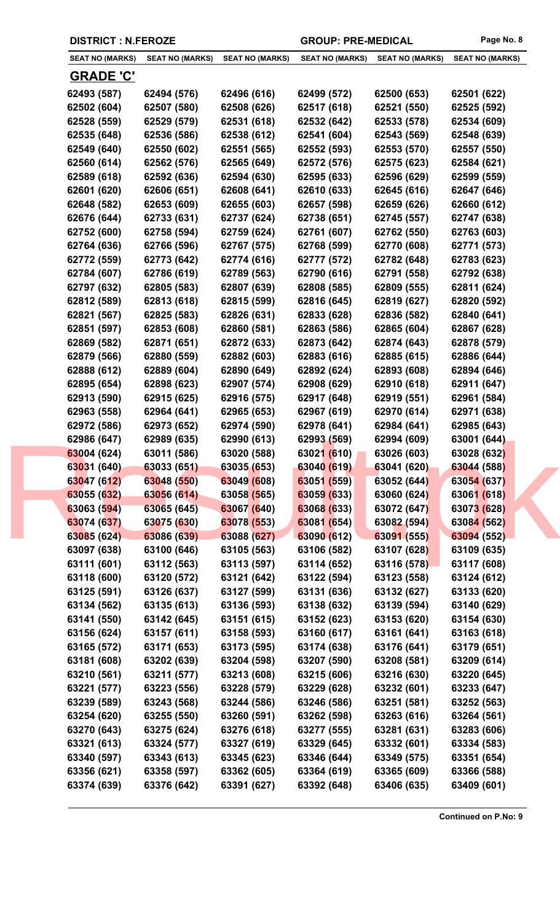| <b>SEAT NO (MARKS)</b> | <b>SEAT NO (MARKS)</b> | <b>SEAT NO (MARKS)</b> | <b>SEAT NO (MARKS)</b> | <b>SEAT NO (MARKS)</b> | <b>SEAT NO (MARKS)</b> |
|------------------------|------------------------|------------------------|------------------------|------------------------|------------------------|
| <u>GRADE 'C'</u>       |                        |                        |                        |                        |                        |
| 62493 (587)            | 62494 (576)            | 62496 (616)            | 62499 (572)            | 62500 (653)            | 62501 (622)            |
| 62502 (604)            | 62507 (580)            | 62508 (626)            | 62517 (618)            | 62521 (550)            | 62525 (592)            |
| 62528 (559)            | 62529 (579)            | 62531 (618)            | 62532 (642)            | 62533 (578)            | 62534 (609)            |
| 62535 (648)            | 62536 (586)            | 62538 (612)            | 62541 (604)            | 62543 (569)            | 62548 (639)            |
| 62549 (640)            | 62550 (602)            | 62551 (565)            | 62552 (593)            | 62553 (570)            | 62557 (550)            |
| 62560 (614)            | 62562 (576)            | 62565 (649)            | 62572 (576)            | 62575 (623)            | 62584 (621)            |
| 62589 (618)            | 62592 (636)            | 62594 (630)            | 62595 (633)            | 62596 (629)            | 62599 (559)            |
| 62601 (620)            | 62606 (651)            | 62608 (641)            | 62610 (633)            | 62645 (616)            | 62647 (646)            |
| 62648 (582)            | 62653 (609)            | 62655 (603)            | 62657 (598)            | 62659 (626)            | 62660 (612)            |
| 62676 (644)            | 62733 (631)            | 62737 (624)            | 62738 (651)            | 62745 (557)            | 62747 (638)            |
| 62752 (600)            | 62758 (594)            | 62759 (624)            | 62761 (607)            | 62762 (550)            | 62763 (603)            |
| 62764 (636)            | 62766 (596)            | 62767 (575)            | 62768 (599)            | 62770 (608)            | 62771 (573)            |
| 62772 (559)            | 62773 (642)            | 62774 (616)            | 62777 (572)            | 62782 (648)            | 62783 (623)            |
| 62784 (607)            | 62786 (619)            | 62789 (563)            | 62790 (616)            | 62791 (558)            | 62792 (638)            |
| 62797 (632)            | 62805 (583)            | 62807 (639)            | 62808 (585)            | 62809 (555)            | 62811 (624)            |
| 62812 (589)            | 62813 (618)            | 62815 (599)            | 62816 (645)            | 62819 (627)            | 62820 (592)            |
| 62821 (567)            | 62825 (583)            | 62826 (631)            | 62833 (628)            | 62836 (582)            | 62840 (641)            |
| 62851 (597)            | 62853 (608)            | 62860 (581)            | 62863 (586)            | 62865 (604)            | 62867 (628)            |
| 62869 (582)            | 62871 (651)            | 62872 (633)            | 62873 (642)            | 62874 (643)            | 62878 (579)            |
| 62879 (566)            | 62880 (559)            | 62882 (603)            | 62883 (616)            | 62885 (615)            | 62886 (644)            |
| 62888 (612)            | 62889 (604)            | 62890 (649)            | 62892 (624)            | 62893 (608)            | 62894 (646)            |
| 62895 (654)            | 62898 (623)            | 62907 (574)            | 62908 (629)            | 62910 (618)            | 62911 (647)            |
| 62913 (590)            | 62915 (625)            | 62916 (575)            | 62917 (648)            | 62919 (551)            | 62961 (584)            |
| 62963 (558)            | 62964 (641)            | 62965 (653)            | 62967 (619)            | 62970 (614)            | 62971 (638)            |
| 62972 (586)            | 62973 (652)            | 62974 (590)            | 62978 (641)            | 62984 (641)            | 62985 (643)            |
| 62986 (647)            | 62989 (635)            | 62990 (613)            | 62993 (569)            | 62994 (609)            | 63001 (644)            |
| 63004 (624)            | 63011 (586)            | 63020 (588)            | 63021 (610)            | 63026 (603)            | 63028 (632)            |
| 63031 (640)            | 63033 (651)            | 63035 (653)            | 63040 (619)            | 63041 (620)            | 63044 (588)            |
| 63047 (612)            | 63048 (550)            | 63049 (608)            | 63051 (559)            | 63052 (644)            | 63054 (637)            |
| 63055 (632)            | 63056 (614)            | 63058 (565)            | 63059 (633)            | 63060 (624)            | 63061 (618)            |
| 63063 (594)            | 63065 (645)            | 63067 (640)            | 63068 (633)            | 63072 (647)            | 63073 (628)            |
| 63074 (637)            | 63075 (630)            | 63078 (553)            | 63081 (654)            | 63082 (594)            | 63084 (562)            |
| 63085 (624)            | 63086 (639)            | 63088 (627)            | 63090 (612)            | 63091 (555)            | 63094 (552)            |
| 63097 (638)            | 63100 (646)            | 63105 (563)            | 63106 (582)            | 63107 (628)            | 63109 (635)            |
| 63111 (601)            | 63112 (563)            | 63113 (597)            | 63114 (652)            | 63116 (578)            | 63117 (608)            |
| 63118 (600)            | 63120 (572)            | 63121 (642)            | 63122 (594)            | 63123 (558)            | 63124 (612)            |
| 63125 (591)            | 63126 (637)            | 63127 (599)            | 63131 (636)            | 63132 (627)            | 63133 (620)            |
| 63134 (562)            | 63135 (613)            | 63136 (593)            | 63138 (632)            | 63139 (594)            | 63140 (629)            |
| 63141 (550)            | 63142 (645)            | 63151 (615)            | 63152 (623)            | 63153 (620)            | 63154 (630)            |
| 63156 (624)            | 63157 (611)            | 63158 (593)            | 63160 (617)            | 63161 (641)            | 63163 (618)            |
| 63165 (572)            | 63171 (653)            | 63173 (595)            | 63174 (638)            | 63176 (641)            | 63179 (651)            |
| 63181 (608)            | 63202 (639)            | 63204 (598)            | 63207 (590)            | 63208 (581)            | 63209 (614)            |
| 63210 (561)            | 63211 (577)            | 63213 (608)            | 63215 (606)            | 63216 (630)            | 63220 (645)            |
| 63221 (577)            | 63223 (556)            | 63228 (579)            | 63229 (628)            | 63232 (601)            | 63233 (647)            |
| 63239 (589)            | 63243 (568)            | 63244 (586)            | 63246 (586)            | 63251 (581)            | 63252 (563)            |
| 63254 (620)            | 63255 (550)            | 63260 (591)            | 63262 (598)            | 63263 (616)            | 63264 (561)            |
| 63270 (643)            | 63275 (624)            | 63276 (618)            | 63277 (555)            | 63281 (631)            | 63283 (606)            |
| 63321 (613)            | 63324 (577)            | 63327 (619)            | 63329 (645)            | 63332 (601)            | 63334 (583)            |
| 63340 (597)            | 63343 (613)            | 63345 (623)            | 63346 (644)            | 63349 (575)            | 63351 (654)            |
| 63356 (621)            | 63358 (597)            | 63362 (605)            | 63364 (619)            | 63365 (609)            | 63366 (588)            |
| 63374 (639)            | 63376 (642)            | 63391 (627)            | 63392 (648)            | 63406 (635)            | 63409 (601)            |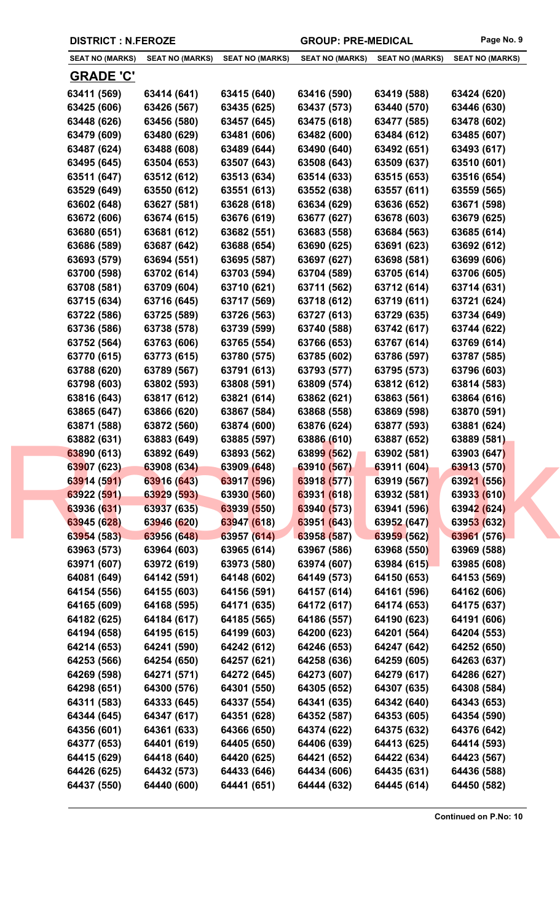| <b>SEAT NO (MARKS)</b> | <b>SEAT NO (MARKS)</b> | <b>SEAT NO (MARKS)</b> | <b>SEAT NO (MARKS)</b> | <b>SEAT NO (MARKS)</b> | <b>SEAT NO (MARKS)</b> |
|------------------------|------------------------|------------------------|------------------------|------------------------|------------------------|
| <u>GRADE 'C'</u>       |                        |                        |                        |                        |                        |
| 63411 (569)            | 63414 (641)            | 63415 (640)            | 63416 (590)            | 63419 (588)            | 63424 (620)            |
| 63425 (606)            | 63426 (567)            | 63435 (625)            | 63437 (573)            | 63440 (570)            | 63446 (630)            |
| 63448 (626)            | 63456 (580)            | 63457 (645)            | 63475 (618)            | 63477 (585)            | 63478 (602)            |
| 63479 (609)            | 63480 (629)            | 63481 (606)            | 63482 (600)            | 63484 (612)            | 63485 (607)            |
| 63487 (624)            | 63488 (608)            | 63489 (644)            | 63490 (640)            | 63492 (651)            | 63493 (617)            |
| 63495 (645)            | 63504 (653)            | 63507 (643)            | 63508 (643)            | 63509 (637)            | 63510 (601)            |
| 63511 (647)            | 63512 (612)            | 63513 (634)            | 63514 (633)            | 63515 (653)            | 63516 (654)            |
| 63529 (649)            | 63550 (612)            | 63551 (613)            | 63552 (638)            | 63557 (611)            | 63559 (565)            |
| 63602 (648)            | 63627 (581)            | 63628 (618)            | 63634 (629)            | 63636 (652)            | 63671 (598)            |
| 63672 (606)            | 63674 (615)            | 63676 (619)            | 63677 (627)            | 63678 (603)            | 63679 (625)            |
| 63680 (651)            | 63681 (612)            | 63682 (551)            | 63683 (558)            | 63684 (563)            | 63685 (614)            |
| 63686 (589)            | 63687 (642)            | 63688 (654)            | 63690 (625)            | 63691 (623)            | 63692 (612)            |
| 63693 (579)            | 63694 (551)            | 63695 (587)            | 63697 (627)            | 63698 (581)            | 63699 (606)            |
| 63700 (598)            | 63702 (614)            | 63703 (594)            | 63704 (589)            | 63705 (614)            | 63706 (605)            |
| 63708 (581)            | 63709 (604)            | 63710 (621)            | 63711 (562)            | 63712 (614)            | 63714 (631)            |
| 63715 (634)            | 63716 (645)            | 63717 (569)            | 63718 (612)            | 63719 (611)            | 63721 (624)            |
| 63722 (586)            | 63725 (589)            | 63726 (563)            | 63727 (613)            | 63729 (635)            | 63734 (649)            |
| 63736 (586)            | 63738 (578)            | 63739 (599)            | 63740 (588)            | 63742 (617)            | 63744 (622)            |
| 63752 (564)            | 63763 (606)            | 63765 (554)            | 63766 (653)            | 63767 (614)            | 63769 (614)            |
| 63770 (615)            | 63773 (615)            | 63780 (575)            | 63785 (602)            | 63786 (597)            | 63787 (585)            |
| 63788 (620)            | 63789 (567)            | 63791 (613)            | 63793 (577)            | 63795 (573)            | 63796 (603)            |
| 63798 (603)            | 63802 (593)            | 63808 (591)            | 63809 (574)            | 63812 (612)            | 63814 (583)            |
| 63816 (643)            | 63817 (612)            | 63821 (614)            | 63862 (621)            | 63863 (561)            | 63864 (616)            |
| 63865 (647)            | 63866 (620)            | 63867 (584)            | 63868 (558)            | 63869 (598)            | 63870 (591)            |
| 63871 (588)            | 63872 (560)            | 63874 (600)            | 63876 (624)            | 63877 (593)            | 63881 (624)            |
| 63882 (631)            | 63883 (649)            | 63885 (597)            | 63886 (610)            | 63887 (652)            | 63889 (581)            |
| 63890 (613)            | 63892 (649)            | 63893 (562)            | 63899 (562)            | 63902 (581)            | 63903 (647)            |
| 63907 (623)            | 63908 (634)            | 63909 (648)            | 63910 (567)            | 63911 (604)            | 63913 (570)            |
| 63914 (591)            | 63916 (643)            | 63917 (596)            | 63918 (577)            | 63919 (567)            | 63921 (556)            |
| 63922 (591)            | 63929 (593)            | 63930 (560)            | 63931 (618)            | 63932 (581)            | 63933 (610)            |
| 63936 (631)            | 63937 (635)            | 63939 (550)            | 63940 (573)            | 63941 (596)            | 63942 (624)            |
| 63945 (628)            | 63946 (620)            | 63947 (618)            | 63951 (643)            | 63952 (647)            | 63953 (632)            |
| 63954 (583)            | 63956 (648)            | 63957 (614)            | 63958 (587)            | 63959 (562)            | 63961 (576)            |
| 63963 (573)            | 63964 (603)            | 63965 (614)            | 63967 (586)            | 63968 (550)            | 63969 (588)            |
| 63971 (607)            | 63972 (619)            | 63973 (580)            | 63974 (607)            | 63984 (615)            | 63985 (608)            |
| 64081 (649)            | 64142 (591)            | 64148 (602)            | 64149 (573)            | 64150 (653)            | 64153 (569)            |
| 64154 (556)            | 64155 (603)            | 64156 (591)            | 64157 (614)            | 64161 (596)            | 64162 (606)            |
| 64165 (609)            | 64168 (595)            | 64171 (635)            | 64172 (617)            | 64174 (653)            | 64175 (637)            |
| 64182 (625)            | 64184 (617)            | 64185 (565)            | 64186 (557)            | 64190 (623)            | 64191 (606)            |
| 64194 (658)            | 64195 (615)            | 64199 (603)            | 64200 (623)            | 64201 (564)            | 64204 (553)            |
| 64214 (653)            | 64241 (590)            | 64242 (612)            | 64246 (653)            | 64247 (642)            | 64252 (650)            |
| 64253 (566)            | 64254 (650)            | 64257 (621)            | 64258 (636)            | 64259 (605)            | 64263 (637)            |
| 64269 (598)            | 64271 (571)            | 64272 (645)            | 64273 (607)            | 64279 (617)            | 64286 (627)            |
| 64298 (651)            | 64300 (576)            | 64301 (550)            | 64305 (652)            | 64307 (635)            | 64308 (584)            |
| 64311 (583)            | 64333 (645)            | 64337 (554)            | 64341 (635)            | 64342 (640)            | 64343 (653)            |
| 64344 (645)            | 64347 (617)            | 64351 (628)            | 64352 (587)            | 64353 (605)            | 64354 (590)            |
| 64356 (601)            | 64361 (633)            | 64366 (650)            | 64374 (622)            | 64375 (632)            | 64376 (642)            |
| 64377 (653)            | 64401 (619)            | 64405 (650)            | 64406 (639)            | 64413 (625)            | 64414 (593)            |
| 64415 (629)            | 64418 (640)            | 64420 (625)            | 64421 (652)            | 64422 (634)            | 64423 (567)            |
| 64426 (625)            | 64432 (573)            | 64433 (646)            | 64434 (606)            | 64435 (631)            | 64436 (588)            |
| 64437 (550)            | 64440 (600)            | 64441 (651)            | 64444 (632)            | 64445 (614)            | 64450 (582)            |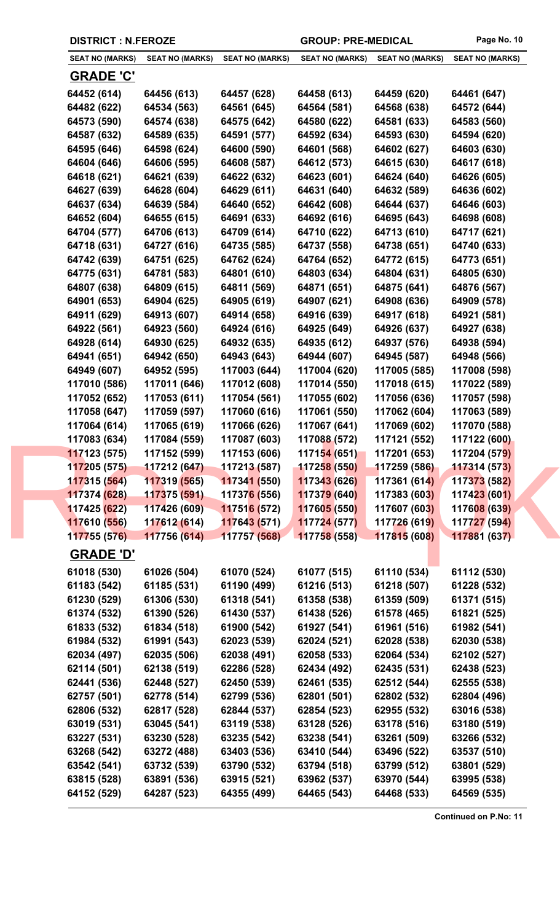| <b>SEAT NO (MARKS)</b> | <b>SEAT NO (MARKS)</b> | <b>SEAT NO (MARKS)</b>      | <b>SEAT NO (MARKS)</b> | <b>SEAT NO (MARKS)</b> | <b>SEAT NO (MARKS)</b> |
|------------------------|------------------------|-----------------------------|------------------------|------------------------|------------------------|
| <b>GRADE 'C'</b>       |                        |                             |                        |                        |                        |
| 64452 (614)            | 64456 (613)            | 64457 (628)                 | 64458 (613)            | 64459 (620)            | 64461 (647)            |
| 64482 (622)            | 64534 (563)            | 64561 (645)                 | 64564 (581)            | 64568 (638)            | 64572 (644)            |
| 64573 (590)            | 64574 (638)            | 64575 (642)                 | 64580 (622)            | 64581 (633)            | 64583 (560)            |
| 64587 (632)            | 64589 (635)            | 64591 (577)                 | 64592 (634)            | 64593 (630)            | 64594 (620)            |
| 64595 (646)            | 64598 (624)            | 64600 (590)                 | 64601 (568)            | 64602 (627)            | 64603 (630)            |
| 64604 (646)            | 64606 (595)            | 64608 (587)                 | 64612 (573)            | 64615 (630)            | 64617 (618)            |
| 64618 (621)            | 64621 (639)            | 64622 (632)                 | 64623 (601)            | 64624 (640)            | 64626 (605)            |
| 64627 (639)            | 64628 (604)            | 64629 (611)                 | 64631 (640)            | 64632 (589)            | 64636 (602)            |
| 64637 (634)            | 64639 (584)            | 64640 (652)                 | 64642 (608)            | 64644 (637)            | 64646 (603)            |
| 64652 (604)            | 64655 (615)            | 64691 (633)                 | 64692 (616)            | 64695 (643)            | 64698 (608)            |
| 64704 (577)            | 64706 (613)            | 64709 (614)                 | 64710 (622)            | 64713 (610)            | 64717 (621)            |
| 64718 (631)            | 64727 (616)            | 64735 (585)                 | 64737 (558)            | 64738 (651)            | 64740 (633)            |
| 64742 (639)            | 64751 (625)            | 64762 (624)                 | 64764 (652)            | 64772 (615)            | 64773 (651)            |
| 64775 (631)            | 64781 (583)            | 64801 (610)                 | 64803 (634)            | 64804 (631)            | 64805 (630)            |
| 64807 (638)            | 64809 (615)            | 64811 (569)                 | 64871 (651)            | 64875 (641)            | 64876 (567)            |
| 64901 (653)            | 64904 (625)            | 64905 (619)                 | 64907 (621)            | 64908 (636)            | 64909 (578)            |
| 64911 (629)            | 64913 (607)            | 64914 (658)                 | 64916 (639)            | 64917 (618)            | 64921 (581)            |
| 64922 (561)            | 64923 (560)            | 64924 (616)                 | 64925 (649)            | 64926 (637)            | 64927 (638)            |
| 64928 (614)            | 64930 (625)            | 64932 (635)                 | 64935 (612)            | 64937 (576)            | 64938 (594)            |
| 64941 (651)            | 64942 (650)            | 64943 (643)                 | 64944 (607)            | 64945 (587)            | 64948 (566)            |
| 64949 (607)            | 64952 (595)            | 117003 (644)                | 117004 (620)           | 117005 (585)           | 117008 (598)           |
| 117010 (586)           | 117011 (646)           | 117012 (608)                | 117014 (550)           | 117018 (615)           | 117022 (589)           |
| 117052 (652)           | 117053 (611)           | 117054 (561)                | 117055 (602)           | 117056 (636)           | 117057 (598)           |
| 117058 (647)           | 117059 (597)           | 117060 (616)                | 117061 (550)           | 117062 (604)           | 117063 (589)           |
| 117064 (614)           | 117065 (619)           | 117066 (626)                | 117067 (641)           | 117069 (602)           | 117070 (588)           |
| 117083 (634)           | 117084 (559)           | 117087 (603)                | 117088 (572)           | 117121 (552)           | 117122 (600)           |
| 117123 (575)           | 117152 (599)           | 117153 (606)                | 117154 (651)           | 117201 (653)           | 117204 (579)           |
| 117205 (575)           | 117212 (647)           | 117213 (587)                | 117258 (550)           | 117259 (586)           | 117314 (573)           |
| 117315 (564)           | 117319 (565)           | 117341 (550)                | 117343 (626)           | 117361 (614)           | 117373 (582)           |
| 117374 (628)           | 117375 (591)           | 11737 <mark>6 (</mark> 556) | 117379 (640)           | 117383 (603)           | 117423 (601)           |
| 117425 (622)           | 117426 (609)           | 117516 (572)                | 117605 (550)           | 117607 (603)           | 117608 (639)           |
| 117610 (556)           | 117612 (614)           | 117643 (571)                | 117724(577)            | 117726 (619)           | 117727 (594)           |
| 117755 (576)           | 117756 (614)           | 117757 (568)                | 117758 (558)           | 117815 (608)           | 117881 (637)           |
| <b>GRADE 'D'</b>       |                        |                             |                        |                        |                        |
| 61018 (530)            | 61026 (504)            | 61070 (524)                 | 61077 (515)            | 61110 (534)            | 61112 (530)            |
| 61183 (542)            | 61185 (531)            | 61190 (499)                 | 61216 (513)            | 61218 (507)            | 61228 (532)            |
| 61230 (529)            | 61306 (530)            | 61318 (541)                 | 61358 (538)            | 61359 (509)            | 61371 (515)            |
| 61374 (532)            | 61390 (526)            | 61430 (537)                 | 61438 (526)            | 61578 (465)            | 61821 (525)            |
| 61833 (532)            | 61834 (518)            | 61900 (542)                 | 61927 (541)            | 61961 (516)            | 61982 (541)            |
| 61984 (532)            | 61991 (543)            | 62023 (539)                 | 62024 (521)            | 62028 (538)            | 62030 (538)            |
| 62034 (497)            | 62035 (506)            | 62038 (491)                 | 62058 (533)            | 62064 (534)            | 62102 (527)            |
| 62114 (501)            | 62138 (519)            | 62286 (528)                 | 62434 (492)            | 62435 (531)            | 62438 (523)            |
| 62441 (536)            | 62448 (527)            | 62450 (539)                 | 62461 (535)            | 62512 (544)            | 62555 (538)            |
| 62757 (501)            | 62778 (514)            | 62799 (536)                 | 62801 (501)            | 62802 (532)            | 62804 (496)            |
| 62806 (532)            | 62817 (528)            | 62844 (537)                 | 62854 (523)            | 62955 (532)            | 63016 (538)            |
| 63019 (531)            | 63045 (541)            | 63119 (538)                 | 63128 (526)            | 63178 (516)            | 63180 (519)            |
| 63227 (531)            | 63230 (528)            | 63235 (542)                 | 63238 (541)            | 63261 (509)            | 63266 (532)            |
| 63268 (542)            | 63272 (488)            | 63403 (536)                 | 63410 (544)            | 63496 (522)            | 63537 (510)            |
| 63542 (541)            | 63732 (539)            | 63790 (532)                 | 63794 (518)            | 63799 (512)            | 63801 (529)            |
| 63815 (528)            | 63891 (536)            | 63915 (521)                 | 63962 (537)            | 63970 (544)            | 63995 (538)            |
| 64152 (529)            | 64287 (523)            | 64355 (499)                 | 64465 (543)            | 64468 (533)            | 64569 (535)            |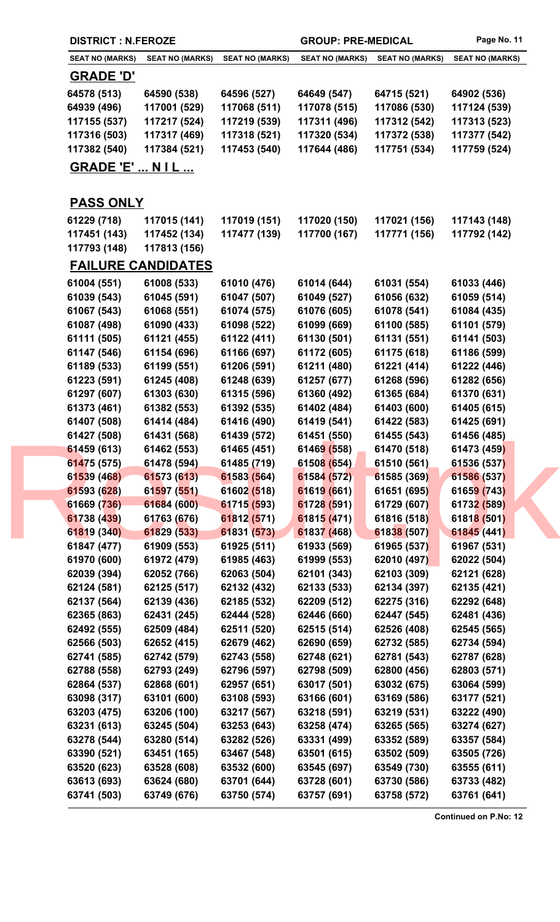|  | <b>DISTRICT : N.FEROZE</b> |                            |                            | <b>GROUP: PRE-MEDICAL</b>  |                            | Page No. 11                |
|--|----------------------------|----------------------------|----------------------------|----------------------------|----------------------------|----------------------------|
|  | <b>SEAT NO (MARKS)</b>     | <b>SEAT NO (MARKS)</b>     | <b>SEAT NO (MARKS)</b>     | <b>SEAT NO (MARKS)</b>     | <b>SEAT NO (MARKS)</b>     | <b>SEAT NO (MARKS)</b>     |
|  | <u>GRADE 'D'</u>           |                            |                            |                            |                            |                            |
|  | 64578 (513)                | 64590 (538)                | 64596 (527)                | 64649 (547)                | 64715 (521)                | 64902 (536)                |
|  | 64939 (496)                | 117001 (529)               | 117068 (511)               | 117078 (515)               | 117086 (530)               | 117124 (539)               |
|  | 117155 (537)               | 117217 (524)               | 117219 (539)               | 117311 (496)               | 117312 (542)               | 117313 (523)               |
|  | 117316 (503)               | 117317 (469)               | 117318 (521)               | 117320 (534)               | 117372 (538)               | 117377 (542)               |
|  | 117382 (540)               | 117384 (521)               | 117453 (540)               | 117644 (486)               | 117751 (534)               | 117759 (524)               |
|  | <b>GRADE 'E'  N I L </b>   |                            |                            |                            |                            |                            |
|  |                            |                            |                            |                            |                            |                            |
|  | <b>PASS ONLY</b>           |                            |                            |                            |                            |                            |
|  | 61229 (718)                | 117015 (141)               | 117019 (151)               | 117020 (150)               | 117021 (156)               | 117143 (148)               |
|  | 117451 (143)               | 117452 (134)               | 117477 (139)               | 117700 (167)               | 117771 (156)               | 117792 (142)               |
|  | 117793 (148)               | 117813 (156)               |                            |                            |                            |                            |
|  |                            | <b>FAILURE CANDIDATES</b>  |                            |                            |                            |                            |
|  |                            |                            |                            |                            |                            |                            |
|  | 61004 (551)                | 61008 (533)                | 61010 (476)                | 61014 (644)                | 61031 (554)                | 61033 (446)                |
|  | 61039 (543)                | 61045 (591)                | 61047 (507)                | 61049 (527)                | 61056 (632)                | 61059 (514)                |
|  | 61067 (543)                | 61068 (551)                | 61074 (575)                | 61076 (605)                | 61078 (541)                | 61084 (435)                |
|  | 61087 (498)                | 61090 (433)                | 61098 (522)                | 61099 (669)                | 61100 (585)                | 61101 (579)                |
|  | 61111 (505)                | 61121 (455)                | 61122 (411)                | 61130 (501)                | 61131 (551)                | 61141 (503)                |
|  | 61147 (546)                | 61154 (696)                | 61166 (697)                | 61172 (605)                | 61175 (618)                | 61186 (599)                |
|  | 61189 (533)                | 61199 (551)                | 61206 (591)                | 61211 (480)                | 61221 (414)                | 61222 (446)                |
|  | 61223 (591)                | 61245 (408)                | 61248 (639)                | 61257 (677)                | 61268 (596)                | 61282 (656)                |
|  | 61297 (607)                | 61303 (630)                | 61315 (596)                | 61360 (492)                | 61365 (684)                | 61370 (631)                |
|  | 61373 (461)<br>61407 (508) | 61382 (553)                | 61392 (535)                | 61402 (484)<br>61419 (541) | 61403 (600)                | 61405 (615)                |
|  | 61427 (508)                | 61414 (484)<br>61431 (568) | 61416 (490)<br>61439 (572) | 61451 (550)                | 61422 (583)<br>61455 (543) | 61425 (691)<br>61456 (485) |
|  | 61459 (613)                | 61462 (553)                | 61465 (451)                | 61469 (558)                | 61470 (518)                | 61473 (459)                |
|  | 61475 (575)                | 61478 (594)                | 61485 (719)                | 61508 (654)                | 61510 (561)                | 61536 (537)                |
|  | 61539 (468)                | 61573 (613)                | 61583 (564)                | 61584 (572)                | 61585 (369)                | 61586 (537)                |
|  | 61593 (628)                | 61597 (551)                | 61602 (518)                | 61619 (661)                | 61651 (695)                | 61659 (743)                |
|  | 61669 (736)                | 61684 (600)                | 61715 (593)                | 61728 (591)                | 61729 (607)                | 61732 (589)                |
|  | 61738 (439)                | 61763 (676)                | 61812 (571)                | 61815 (471)                | 61816 (518)                | 61818 (501)                |
|  | 61819 (340)                | 61829 (533)                | 61831 (573)                | 61837 (468)                | 61838 (507)                | 61845 (441)                |
|  | 61847 (477)                | 61909 (553)                | 61925 (511)                | 61933 (569)                | 61965 (537)                | 61967 (531)                |
|  | 61970 (600)                | 61972 (479)                | 61985 (463)                | 61999 (553)                | 62010 (497)                | 62022 (504)                |
|  | 62039 (394)                | 62052 (766)                | 62063 (504)                | 62101 (343)                | 62103 (309)                | 62121 (628)                |
|  | 62124 (581)                | 62125 (517)                | 62132 (432)                | 62133 (533)                | 62134 (397)                | 62135 (421)                |
|  | 62137 (564)                | 62139 (436)                | 62185 (532)                | 62209 (512)                | 62275 (316)                | 62292 (648)                |
|  | 62365 (863)                | 62431 (245)                | 62444 (528)                | 62446 (660)                | 62447 (545)                | 62481 (436)                |
|  | 62492 (555)                | 62509 (484)                | 62511 (520)                | 62515 (514)                | 62526 (408)                | 62545 (565)                |
|  | 62566 (503)                | 62652 (415)                | 62679 (462)                | 62690 (659)                | 62732 (585)                | 62734 (594)                |
|  | 62741 (585)                | 62742 (579)                | 62743 (558)                | 62748 (621)                | 62781 (543)                | 62787 (628)                |
|  | 62788 (558)                | 62793 (249)                | 62796 (597)                | 62798 (509)                | 62800 (456)                | 62803 (571)                |
|  | 62864 (537)                | 62868 (601)                | 62957 (651)                | 63017 (501)                | 63032 (675)                | 63064 (599)                |
|  | 63098 (317)                | 63101 (600)                | 63108 (593)                | 63166 (601)                | 63169 (586)                | 63177 (521)                |
|  | 63203 (475)                | 63206 (100)                | 63217 (567)                | 63218 (591)                | 63219 (531)                | 63222 (490)                |
|  | 63231 (613)                | 63245 (504)                | 63253 (643)                | 63258 (474)                | 63265 (565)                | 63274 (627)                |
|  | 63278 (544)                | 63280 (514)                | 63282 (526)                | 63331 (499)                | 63352 (589)                | 63357 (584)                |
|  | 63390 (521)                | 63451 (165)                | 63467 (548)                | 63501 (615)                | 63502 (509)                | 63505 (726)                |
|  | 63520 (623)                | 63528 (608)                | 63532 (600)                | 63545 (697)                | 63549 (730)                | 63555 (611)                |
|  | 63613 (693)                | 63624 (680)                | 63701 (644)                | 63728 (601)                | 63730 (586)                | 63733 (482)                |
|  | 63741 (503)                | 63749 (676)                | 63750 (574)                | 63757 (691)                | 63758 (572)                | 63761 (641)                |
|  |                            |                            |                            |                            |                            |                            |